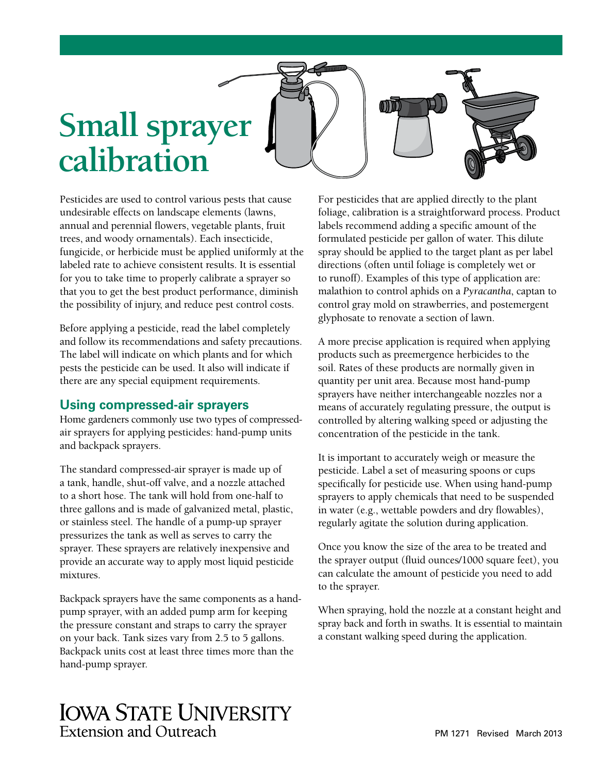# **Small sprayer calibration**

Pesticides are used to control various pests that cause undesirable effects on landscape elements (lawns, annual and perennial flowers, vegetable plants, fruit trees, and woody ornamentals). Each insecticide, fungicide, or herbicide must be applied uniformly at the labeled rate to achieve consistent results. It is essential for you to take time to properly calibrate a sprayer so that you to get the best product performance, diminish the possibility of injury, and reduce pest control costs.

Before applying a pesticide, read the label completely and follow its recommendations and safety precautions. The label will indicate on which plants and for which pests the pesticide can be used. It also will indicate if there are any special equipment requirements.

## **Using compressed-air sprayers**

Home gardeners commonly use two types of compressedair sprayers for applying pesticides: hand-pump units and backpack sprayers.

The standard compressed-air sprayer is made up of a tank, handle, shut-off valve, and a nozzle attached to a short hose. The tank will hold from one-half to three gallons and is made of galvanized metal, plastic, or stainless steel. The handle of a pump-up sprayer pressurizes the tank as well as serves to carry the sprayer. These sprayers are relatively inexpensive and provide an accurate way to apply most liquid pesticide mixtures.

Backpack sprayers have the same components as a handpump sprayer, with an added pump arm for keeping the pressure constant and straps to carry the sprayer on your back. Tank sizes vary from 2.5 to 5 gallons. Backpack units cost at least three times more than the hand-pump sprayer.

For pesticides that are applied directly to the plant foliage, calibration is a straightforward process. Product labels recommend adding a specific amount of the formulated pesticide per gallon of water. This dilute spray should be applied to the target plant as per label directions (often until foliage is completely wet or to runoff). Examples of this type of application are: malathion to control aphids on a *Pyracantha*, captan to control gray mold on strawberries, and postemergent glyphosate to renovate a section of lawn.

 $\textcircled{r}$ 

A more precise application is required when applying products such as preemergence herbicides to the soil. Rates of these products are normally given in quantity per unit area. Because most hand-pump sprayers have neither interchangeable nozzles nor a means of accurately regulating pressure, the output is controlled by altering walking speed or adjusting the concentration of the pesticide in the tank.

It is important to accurately weigh or measure the pesticide. Label a set of measuring spoons or cups specifically for pesticide use. When using hand-pump sprayers to apply chemicals that need to be suspended in water (e.g., wettable powders and dry flowables), regularly agitate the solution during application.

Once you know the size of the area to be treated and the sprayer output (fluid ounces/1000 square feet), you can calculate the amount of pesticide you need to add to the sprayer.

When spraying, hold the nozzle at a constant height and spray back and forth in swaths. It is essential to maintain a constant walking speed during the application.

# **IOWA STATE UNIVERSITY** Extension and Outreach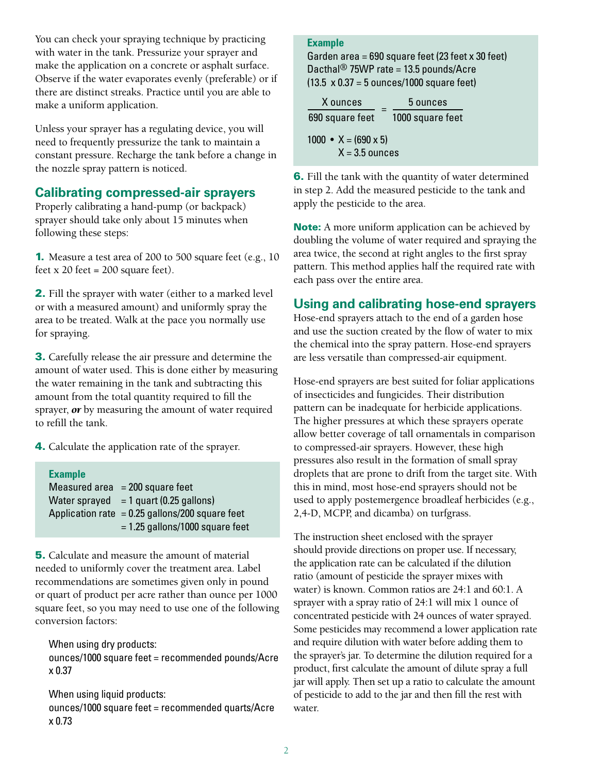You can check your spraying technique by practicing with water in the tank. Pressurize your sprayer and make the application on a concrete or asphalt surface. Observe if the water evaporates evenly (preferable) or if there are distinct streaks. Practice until you are able to make a uniform application.

Unless your sprayer has a regulating device, you will need to frequently pressurize the tank to maintain a constant pressure. Recharge the tank before a change in the nozzle spray pattern is noticed.

# **Calibrating compressed-air sprayers**

Properly calibrating a hand-pump (or backpack) sprayer should take only about 15 minutes when following these steps:

1. Measure a test area of 200 to 500 square feet (e.g., 10 feet  $x$  20 feet = 200 square feet).

2. Fill the sprayer with water (either to a marked level or with a measured amount) and uniformly spray the area to be treated. Walk at the pace you normally use for spraying.

3. Carefully release the air pressure and determine the amount of water used. This is done either by measuring the water remaining in the tank and subtracting this amount from the total quantity required to fill the sprayer, *or* by measuring the amount of water required to refill the tank.

4. Calculate the application rate of the sprayer.

| <b>Example</b> |                                                   |
|----------------|---------------------------------------------------|
|                | Measured area $= 200$ square feet                 |
|                | Water sprayed $= 1$ quart (0.25 gallons)          |
|                | Application rate $= 0.25$ gallons/200 square feet |
|                | $= 1.25$ gallons/1000 square feet                 |

5. Calculate and measure the amount of material needed to uniformly cover the treatment area. Label recommendations are sometimes given only in pound or quart of product per acre rather than ounce per 1000 square feet, so you may need to use one of the following conversion factors:

When using dry products:

ounces/1000 square feet = recommended pounds/Acre x 0.37

When using liquid products: ounces/1000 square feet = recommended quarts/Acre x 0.73

#### **Example**

Garden area = 690 square feet (23 feet x 30 feet) Dacthal<sup>®</sup> 75WP rate = 13.5 pounds/Acre (13.5 x 0.37 = 5 ounces/1000 square feet)

| X ounces                                        | 5 ounces<br>1000 square feet |  |
|-------------------------------------------------|------------------------------|--|
| 690 square feet                                 |                              |  |
| 1000 • $X = (690 \times 5)$<br>$X = 3.5$ ounces |                              |  |

6. Fill the tank with the quantity of water determined in step 2. Add the measured pesticide to the tank and apply the pesticide to the area.

Note: A more uniform application can be achieved by doubling the volume of water required and spraying the area twice, the second at right angles to the first spray pattern. This method applies half the required rate with each pass over the entire area.

# **Using and calibrating hose-end sprayers**

Hose-end sprayers attach to the end of a garden hose and use the suction created by the flow of water to mix the chemical into the spray pattern. Hose-end sprayers are less versatile than compressed-air equipment.

Hose-end sprayers are best suited for foliar applications of insecticides and fungicides. Their distribution pattern can be inadequate for herbicide applications. The higher pressures at which these sprayers operate allow better coverage of tall ornamentals in comparison to compressed-air sprayers. However, these high pressures also result in the formation of small spray droplets that are prone to drift from the target site. With this in mind, most hose-end sprayers should not be used to apply postemergence broadleaf herbicides (e.g., 2,4-D, MCPP, and dicamba) on turfgrass.

The instruction sheet enclosed with the sprayer should provide directions on proper use. If necessary, the application rate can be calculated if the dilution ratio (amount of pesticide the sprayer mixes with water) is known. Common ratios are 24:1 and 60:1. A sprayer with a spray ratio of 24:1 will mix 1 ounce of concentrated pesticide with 24 ounces of water sprayed. Some pesticides may recommend a lower application rate and require dilution with water before adding them to the sprayer's jar. To determine the dilution required for a product, first calculate the amount of dilute spray a full jar will apply. Then set up a ratio to calculate the amount of pesticide to add to the jar and then fill the rest with water.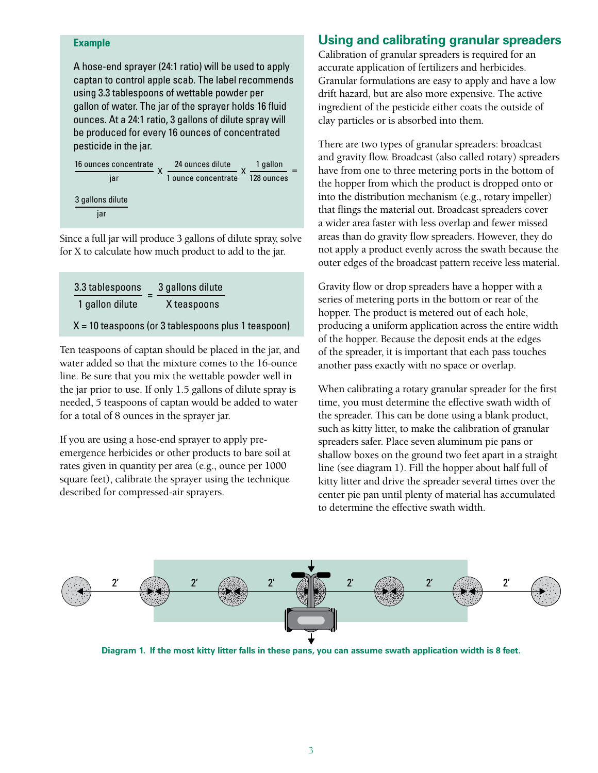#### **Example**

A hose-end sprayer (24:1 ratio) will be used to apply captan to control apple scab. The label recommends using 3.3 tablespoons of wettable powder per gallon of water. The jar of the sprayer holds 16 fluid ounces. At a 24:1 ratio, 3 gallons of dilute spray will be produced for every 16 ounces of concentrated pesticide in the jar.



Since a full jar will produce 3 gallons of dilute spray, solve for X to calculate how much product to add to the jar.

| 3.3 tablespoons                                       | 3 gallons dilute |  |  |  |
|-------------------------------------------------------|------------------|--|--|--|
| 1 gallon dilute                                       | X teaspoons      |  |  |  |
| $X = 10$ teaspoons (or 3 tablespoons plus 1 teaspoon) |                  |  |  |  |

Ten teaspoons of captan should be placed in the jar, and water added so that the mixture comes to the 16-ounce line. Be sure that you mix the wettable powder well in the jar prior to use. If only 1.5 gallons of dilute spray is needed, 5 teaspoons of captan would be added to water for a total of 8 ounces in the sprayer jar.

If you are using a hose-end sprayer to apply preemergence herbicides or other products to bare soil at rates given in quantity per area (e.g., ounce per 1000 square feet), calibrate the sprayer using the technique described for compressed-air sprayers.

# **Using and calibrating granular spreaders**

Calibration of granular spreaders is required for an accurate application of fertilizers and herbicides. Granular formulations are easy to apply and have a low drift hazard, but are also more expensive. The active ingredient of the pesticide either coats the outside of clay particles or is absorbed into them.

There are two types of granular spreaders: broadcast and gravity flow. Broadcast (also called rotary) spreaders have from one to three metering ports in the bottom of the hopper from which the product is dropped onto or into the distribution mechanism (e.g., rotary impeller) that flings the material out. Broadcast spreaders cover a wider area faster with less overlap and fewer missed areas than do gravity flow spreaders. However, they do not apply a product evenly across the swath because the outer edges of the broadcast pattern receive less material.

Gravity flow or drop spreaders have a hopper with a series of metering ports in the bottom or rear of the hopper. The product is metered out of each hole, producing a uniform application across the entire width of the hopper. Because the deposit ends at the edges of the spreader, it is important that each pass touches another pass exactly with no space or overlap.

When calibrating a rotary granular spreader for the first time, you must determine the effective swath width of the spreader. This can be done using a blank product, such as kitty litter, to make the calibration of granular spreaders safer. Place seven aluminum pie pans or shallow boxes on the ground two feet apart in a straight line (see diagram 1). Fill the hopper about half full of kitty litter and drive the spreader several times over the center pie pan until plenty of material has accumulated to determine the effective swath width.



**Diagram 1. If the most kitty litter falls in these pans, you can assume swath application width is 8 feet.**